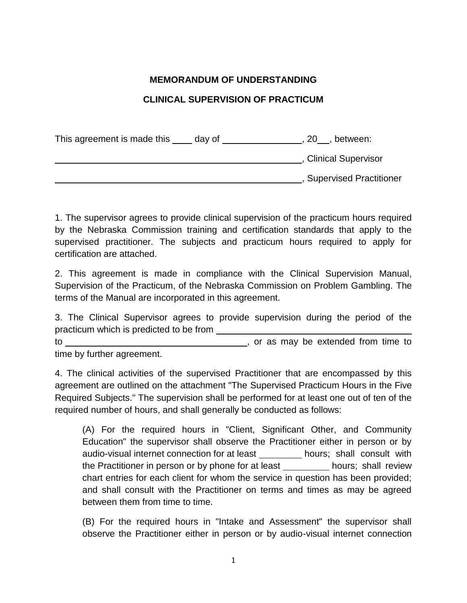## **MEMORANDUM OF UNDERSTANDING**

## **CLINICAL SUPERVISION OF PRACTICUM**

This agreement is made this  $\_\_\_$  day of  $\_\_\_\_\_\_$ , 20  $\_\_\_\_$ , between: , Clinical Supervisor , Supervised Practitioner

1. The supervisor agrees to provide clinical supervision of the practicum hours required by the Nebraska Commission training and certification standards that apply to the supervised practitioner. The subjects and practicum hours required to apply for certification are attached.

2. This agreement is made in compliance with the Clinical Supervision Manual, Supervision of the Practicum, of the Nebraska Commission on Problem Gambling. The terms of the Manual are incorporated in this agreement.

3. The Clinical Supervisor agrees to provide supervision during the period of the practicum which is predicted to be from

to , or as may be extended from time to

time by further agreement.

4. The clinical activities of the supervised Practitioner that are encompassed by this agreement are outlined on the attachment "The Supervised Practicum Hours in the Five Required Subjects." The supervision shall be performed for at least one out of ten of the required number of hours, and shall generally be conducted as follows:

(A) For the required hours in "Client, Significant Other, and Community Education" the supervisor shall observe the Practitioner either in person or by audio-visual internet connection for at least \_\_\_\_\_\_\_\_ hours; shall consult with the Practitioner in person or by phone for at least \_\_\_\_\_\_\_\_\_ hours; shall review chart entries for each client for whom the service in question has been provided; and shall consult with the Practitioner on terms and times as may be agreed between them from time to time.

(B) For the required hours in "Intake and Assessment" the supervisor shall observe the Practitioner either in person or by audio-visual internet connection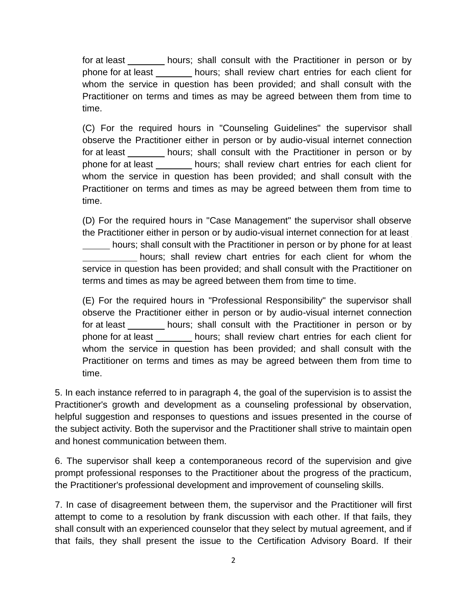for at least <u>exte hours;</u> shall consult with the Practitioner in person or by phone for at least hours; shall review chart entries for each client for whom the service in question has been provided; and shall consult with the Practitioner on terms and times as may be agreed between them from time to time.

(C) For the required hours in "Counseling Guidelines" the supervisor shall observe the Practitioner either in person or by audio-visual internet connection for at least hours; shall consult with the Practitioner in person or by phone for at least hours; shall review chart entries for each client for whom the service in question has been provided; and shall consult with the Practitioner on terms and times as may be agreed between them from time to time.

(D) For the required hours in "Case Management" the supervisor shall observe the Practitioner either in person or by audio-visual internet connection for at least hours; shall consult with the Practitioner in person or by phone for at least hours; shall review chart entries for each client for whom the service in question has been provided; and shall consult with the Practitioner on terms and times as may be agreed between them from time to time.

(E) For the required hours in "Professional Responsibility" the supervisor shall observe the Practitioner either in person or by audio-visual internet connection for at least **hours**; shall consult with the Practitioner in person or by phone for at least hours; shall review chart entries for each client for whom the service in question has been provided; and shall consult with the Practitioner on terms and times as may be agreed between them from time to time.

5. In each instance referred to in paragraph 4, the goal of the supervision is to assist the Practitioner's growth and development as a counseling professional by observation, helpful suggestion and responses to questions and issues presented in the course of the subject activity. Both the supervisor and the Practitioner shall strive to maintain open and honest communication between them.

6. The supervisor shall keep a contemporaneous record of the supervision and give prompt professional responses to the Practitioner about the progress of the practicum, the Practitioner's professional development and improvement of counseling skills.

7. In case of disagreement between them, the supervisor and the Practitioner will first attempt to come to a resolution by frank discussion with each other. If that fails, they shall consult with an experienced counselor that they select by mutual agreement, and if that fails, they shall present the issue to the Certification Advisory Board. If their